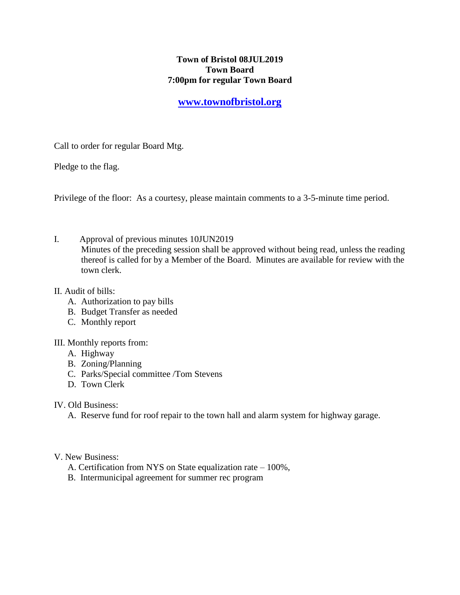## **Town of Bristol 08JUL2019 Town Board 7:00pm for regular Town Board**

## **[www.townofbristol.org](http://www.townofbristol.org/)**

Call to order for regular Board Mtg.

Pledge to the flag.

Privilege of the floor: As a courtesy, please maintain comments to a 3-5-minute time period.

I. Approval of previous minutes 10JUN2019 Minutes of the preceding session shall be approved without being read, unless the reading thereof is called for by a Member of the Board. Minutes are available for review with the town clerk.

## II. Audit of bills:

- A. Authorization to pay bills
- B. Budget Transfer as needed
- C. Monthly report
- III. Monthly reports from:
	- A. Highway
	- B. Zoning/Planning
	- C. Parks/Special committee /Tom Stevens
	- D. Town Clerk
- IV. Old Business:
	- A. Reserve fund for roof repair to the town hall and alarm system for highway garage.
- V. New Business:
	- A. Certification from NYS on State equalization rate 100%,
	- B. Intermunicipal agreement for summer rec program